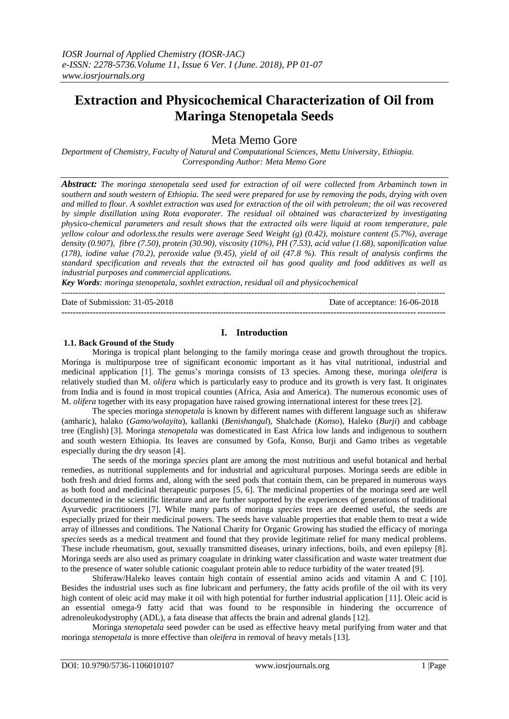# **Extraction and Physicochemical Characterization of Oil from Maringa Stenopetala Seeds**

Meta Memo Gore

*Department of Chemistry, Faculty of Natural and Computational Sciences, Mettu University, Ethiopia. Corresponding Author: Meta Memo Gore*

*Abstract: The moringa stenopetala seed used for extraction of oil were collected from Arbaminch town in southern and south western of Ethiopia. The seed were prepared for use by removing the pods, drying with oven and milled to flour. A soxhlet extraction was used for extraction of the oil with petroleum; the oil was recovered by simple distillation using Rota evaporater. The residual oil obtained was characterized by investigating physico-chemical parameters and result shows that the extracted oils were liquid at room temperature, pale yellow colour and odorless.the results were average Seed Weight (g) (0.42), moisture content (5.7%), average density (0.907), fibre (7.50), protein (30.90), viscosity (10%), PH (7.53), acid value (1.68), saponification value (178), iodine value (70.2), peroxide value (9.45), yield of oil (47.8 %). This result of analysis confirms the standard specification and reveals that the extracted oil has good quality and food additives as well as industrial purposes and commercial applications.* 

*Key Words: moringa stenopetala, soxhlet extraction, residual oil and physicochemical*

--------------------------------------------------------------------------------------------------------------------------------------- Date of Submission: 31-05-2018 Date of acceptance: 16-06-2018

## **I. Introduction**

**---------------------------------------------------------------------------------------------------------------------------------------**

#### **1.1. Back Ground of the Study**

Moringa is tropical plant belonging to the family moringa cease and growth throughout the tropics. Moringa is multipurpose tree of significant economic important as it has vital nutritional, industrial and medicinal application [1]. The genus's moringa consists of 13 species. Among these, moringa *oleifera* is relatively studied than M. *olifera* which is particularly easy to produce and its growth is very fast. It originates from India and is found in most tropical counties (Africa, Asia and America). The numerous economic uses of M. *olifera* together with its easy propagation have raised growing international interest for these trees [2].

The species moringa *stenopetala* is known by different names with different language such as shiferaw (amharic), halako (*Gamo/wolayita*), kallanki (*Benishangul*), Shalchade (*Konso*), Haleko (*Burji*) and cabbage tree (English) [3]. Moringa *stenopetala* was domesticated in East Africa low lands and indigenous to southern and south western Ethiopia. Its leaves are consumed by Gofa, Konso, Burji and Gamo tribes as vegetable especially during the dry season [4].

The seeds of the moringa *species* plant are among the most nutritious and useful botanical and herbal remedies, as nutritional supplements and for industrial and agricultural purposes. Moringa seeds are edible in both fresh and dried forms and, along with the seed pods that contain them, can be prepared in numerous ways as both food and medicinal therapeutic purposes [5, 6]. The medicinal properties of the moringa seed are well documented in the scientific literature and are further supported by the experiences of generations of traditional Ayurvedic practitioners [7]. While many parts of moringa *species* trees are deemed useful, the seeds are especially prized for their medicinal powers. The seeds have valuable properties that enable them to treat a wide array of illnesses and conditions. The National Charity for Organic Growing has studied the efficacy of moringa *species* seeds as a medical treatment and found that they provide legitimate relief for many medical problems. These include rheumatism, gout, sexually transmitted diseases, urinary infections, boils, and even epilepsy [8]. Moringa seeds are also used as primary coagulate in drinking water classification and waste water treatment due to the presence of water soluble cationic coagulant protein able to reduce turbidity of the water treated [9].

Shiferaw/Haleko leaves contain high contain of essential amino acids and vitamin A and C [10]. Besides the industrial uses such as fine lubricant and perfumery, the fatty acids profile of the oil with its very high content of oleic acid may make it oil with high potential for further industrial application [11]. Oleic acid is an essential omega-9 fatty acid that was found to be responsible in hindering the occurrence of adrenoleukodystrophy (ADL), a fata disease that affects the brain and adrenal glands [12].

Moringa *stenopetala* seed powder can be used as effective heavy metal purifying from water and that moringa *stenopetala* is more effective than *oleifera* in removal of heavy metals [13].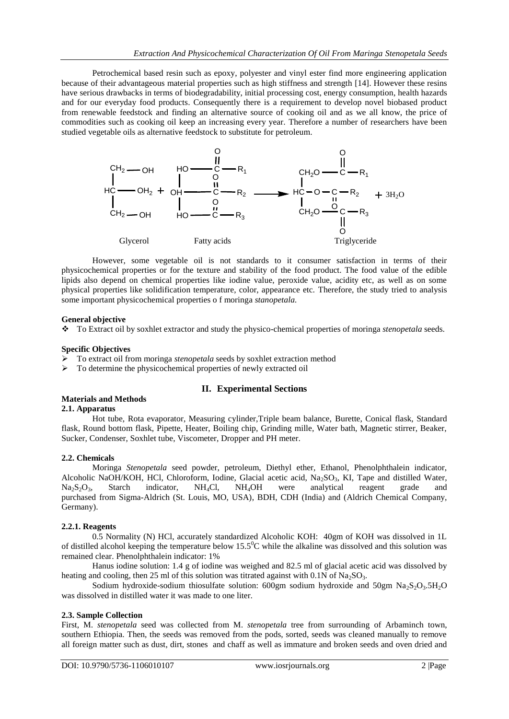Petrochemical based resin such as epoxy, polyester and vinyl ester find more engineering application because of their advantageous material properties such as high stiffness and strength [14]. However these resins have serious drawbacks in terms of biodegradability, initial processing cost, energy consumption, health hazards and for our everyday food products. Consequently there is a requirement to develop novel biobased product from renewable feedstock and finding an alternative source of cooking oil and as we all know, the price of commodities such as cooking oil keep an increasing every year. Therefore a number of researchers have been studied vegetable oils as alternative feedstock to substitute for petroleum.



However, some vegetable oil is not standards to it consumer satisfaction in terms of their physicochemical properties or for the texture and stability of the food product. The food value of the edible lipids also depend on chemical properties like iodine value, peroxide value, acidity etc, as well as on some physical properties like solidification temperature, color, appearance etc. Therefore, the study tried to analysis some important physicochemical properties o f moringa *stanopetala.*

### **General objective**

To Extract oil by soxhlet extractor and study the physico-chemical properties of moringa *stenopetala* seeds.

#### **Specific Objectives**

- To extract oil from moringa *stenopetala* seeds by soxhlet extraction method
- > To determine the physicochemical properties of newly extracted oil

## **II. Experimental Sections**

## **Materials and Methods**

## **2.1. Apparatus**

Hot tube, Rota evaporator, Measuring cylinder,Triple beam balance, Burette, Conical flask, Standard flask, Round bottom flask, Pipette, Heater, Boiling chip, Grinding mille, Water bath, Magnetic stirrer, Beaker, Sucker, Condenser, Soxhlet tube, Viscometer, Dropper and PH meter.

### **2.2. Chemicals**

Moringa *Stenopetala* seed powder, petroleum, Diethyl ether, Ethanol, Phenolphthalein indicator, Alcoholic NaOH/KOH, HCl, Chloroform, Iodine, Glacial acetic acid, Na<sub>2</sub>SO<sub>3</sub>, KI, Tape and distilled Water, Na<sub>2</sub>S<sub>2</sub>O<sub>3</sub>, Starch indicator, NH<sub>4</sub>Cl, NH<sub>4</sub>OH were analytical reagent grade and  $Na_2S_2O_3$ , Starch indicator, NH<sub>4</sub>Cl, NH<sub>4</sub>OH were analytical reagent grade and purchased from Sigma-Aldrich (St. Louis, MO, USA), BDH, CDH (India) and (Aldrich Chemical Company, Germany).

### **2.2.1. Reagents**

0.5 Normality (N) HCl, accurately standardized Alcoholic KOH: 40gm of KOH was dissolved in 1L of distilled alcohol keeping the temperature below  $15.5^{\circ}$ C while the alkaline was dissolved and this solution was remained clear. Phenolphthalein indicator: 1%

Hanus iodine solution: 1.4 g of iodine was weighed and 82.5 ml of glacial acetic acid was dissolved by heating and cooling, then 25 ml of this solution was titrated against with  $0.1N$  of Na<sub>2</sub>SO<sub>3</sub>.

Sodium hydroxide-sodium thiosulfate solution: 600gm sodium hydroxide and 50gm  $Na<sub>2</sub>S<sub>2</sub>O<sub>3</sub>$ .5H<sub>2</sub>O was dissolved in distilled water it was made to one liter.

### **2.3. Sample Collection**

First, M. *stenopetala* seed was collected from M. *stenopetala* tree from surrounding of Arbaminch town, southern Ethiopia. Then, the seeds was removed from the pods, sorted, seeds was cleaned manually to remove all foreign matter such as dust, dirt, stones and chaff as well as immature and broken seeds and oven dried and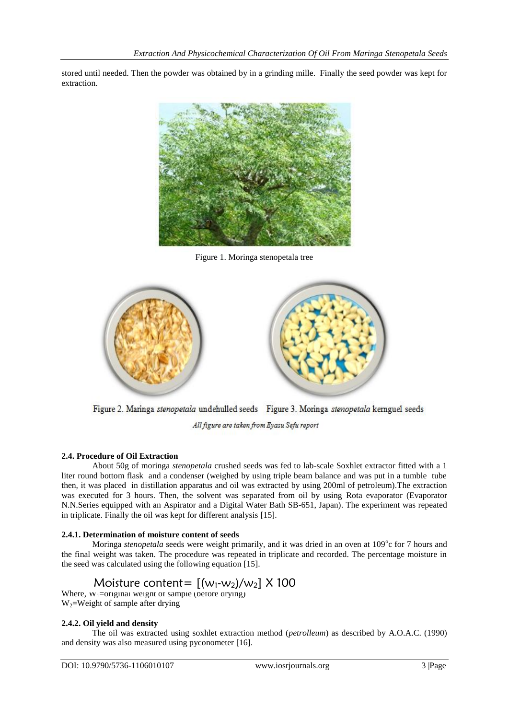stored until needed. Then the powder was obtained by in a grinding mille. Finally the seed powder was kept for extraction.



Figure 1. Moringa stenopetala tree



Figure 2. Maringa stenopetala undehulled seeds Figure 3. Moringa stenopetala kemguel seeds

All figure are taken from Eyasu Sefu report

## **2.4. Procedure of Oil Extraction**

About 50g of moringa *stenopetala* crushed seeds was fed to lab-scale Soxhlet extractor fitted with a 1 liter round bottom flask and a condenser (weighed by using triple beam balance and was put in a tumble tube then, it was placed in distillation apparatus and oil was extracted by using 200ml of petroleum).The extraction was executed for 3 hours. Then, the solvent was separated from oil by using Rota evaporator (Evaporator N.N.Series equipped with an Aspirator and a Digital Water Bath SB-651, Japan). The experiment was repeated in triplicate. Finally the oil was kept for different analysis [15].

## **2.4.1. Determination of moisture content of seeds**

Moringa *stenopetala* seeds were weight primarily, and it was dried in an oven at 109°c for 7 hours and the final weight was taken. The procedure was repeated in triplicate and recorded. The percentage moisture in the seed was calculated using the following equation [15].

# Moisture content=  $[(w_1-w_2)/w_2]$  X 100

Where,  $w_1$ =original weight of sample (before drying)  $W_2$ =Weight of sample after drying

## **2.4.2. Oil yield and density**

The oil was extracted using soxhlet extraction method (*petrolleum*) as described by A.O.A.C. (1990) and density was also measured using pyconometer [16].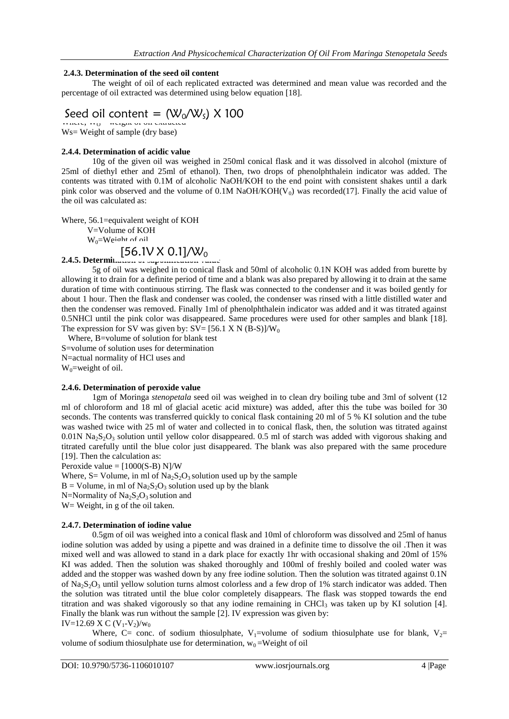## **2.4.3. Determination of the seed oil content**

The weight of oil of each replicated extracted was determined and mean value was recorded and the percentage of oil extracted was determined using below equation [18].

## Seed oil content =  $(W_0/W_5)$  X 100

 $m$ inte,  $m_0$  = weight of on extracted W<sub>S</sub> = Weight of sample (dry base)

## **2.4.4. Determination of acidic value**

10g of the given oil was weighed in 250ml conical flask and it was dissolved in alcohol (mixture of 25ml of diethyl ether and 25ml of ethanol). Then, two drops of phenolphthalein indicator was added. The contents was titrated with 0.1M of alcoholic NaOH/KOH to the end point with consistent shakes until a dark pink color was observed and the volume of  $0.1M$  NaOH/KOH( $V_0$ ) was recorded(17]. Finally the acid value of the oil was calculated as:

Where, 56.1=equivalent weight of KOH V=Volume of KOH

 $W_0 = We^{inht}$  of oil

## $[56.1V \times 0.1] / W_0$

**2.4.5. Determination of saponification value** 5g of oil was weighed in to conical flask and 50ml of alcoholic 0.1N KOH was added from burette by allowing it to drain for a definite period of time and a blank was also prepared by allowing it to drain at the same duration of time with continuous stirring. The flask was connected to the condenser and it was boiled gently for about 1 hour. Then the flask and condenser was cooled, the condenser was rinsed with a little distilled water and then the condenser was removed. Finally 1ml of phenolphthalein indicator was added and it was titrated against 0.5NHCl until the pink color was disappeared. Same procedures were used for other samples and blank [18]. The expression for SV was given by:  $SV = [56.1 \times N (B-S)]/W_0$ 

 Where, B=volume of solution for blank test S=volume of solution uses for determination N=actual normality of HCl uses and  $W_0$ =weight of oil.

## **2.4.6. Determination of peroxide value**

1gm of Moringa *stenopetala* seed oil was weighed in to clean dry boiling tube and 3ml of solvent (12 ml of chloroform and 18 ml of glacial acetic acid mixture) was added, after this the tube was boiled for 30 seconds. The contents was transferred quickly to conical flask containing 20 ml of 5 % KI solution and the tube was washed twice with 25 ml of water and collected in to conical flask, then, the solution was titrated against  $0.01N$  Na<sub>2</sub>S<sub>2</sub>O<sub>3</sub> solution until yellow color disappeared. 0.5 ml of starch was added with vigorous shaking and titrated carefully until the blue color just disappeared. The blank was also prepared with the same procedure [19]. Then the calculation as:

Peroxide value =  $[1000(S-B) N]/W$ 

Where,  $S =$  Volume, in ml of  $Na<sub>2</sub>S<sub>2</sub>O<sub>3</sub>$  solution used up by the sample

 $B =$  Volume, in ml of Na<sub>2</sub>S<sub>2</sub>O<sub>3</sub> solution used up by the blank

N=Normality of  $Na<sub>2</sub>S<sub>2</sub>O<sub>3</sub>$  solution and

W = Weight, in g of the oil taken.

### **2.4.7. Determination of iodine value**

0.5gm of oil was weighed into a conical flask and 10ml of chloroform was dissolved and 25ml of hanus iodine solution was added by using a pipette and was drained in a definite time to dissolve the oil .Then it was mixed well and was allowed to stand in a dark place for exactly 1hr with occasional shaking and 20ml of 15% KI was added. Then the solution was shaked thoroughly and 100ml of freshly boiled and cooled water was added and the stopper was washed down by any free iodine solution. Then the solution was titrated against 0.1N of Na<sub>2</sub>S<sub>2</sub>O<sub>3</sub> until yellow solution turns almost colorless and a few drop of 1% starch indicator was added. Then the solution was titrated until the blue color completely disappears. The flask was stopped towards the end titration and was shaked vigorously so that any iodine remaining in CHCl<sub>3</sub> was taken up by KI solution [4]. Finally the blank was run without the sample [2]. IV expression was given by:

IV=12.69 X C (V<sub>1</sub>-V<sub>2</sub>)/w<sub>0</sub>

Where, C= conc. of sodium thiosulphate, V<sub>1</sub>=volume of sodium thiosulphate use for blank, V<sub>2</sub>= volume of sodium thiosulphate use for determination,  $w_0 = Weight$  of oil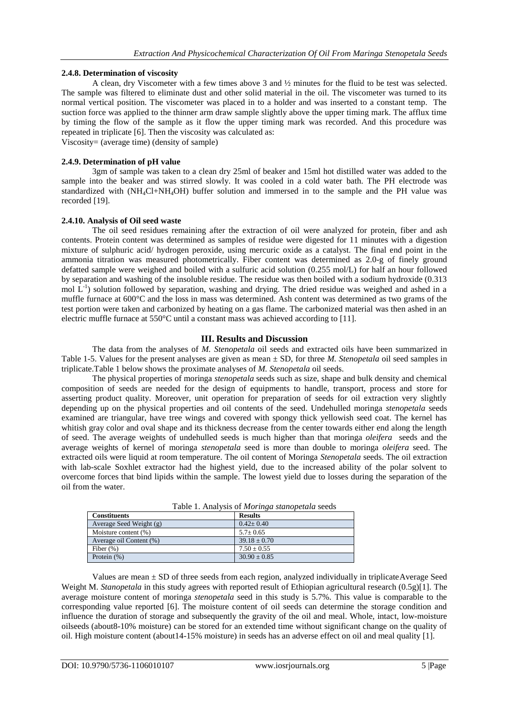## **2.4.8. Determination of viscosity**

A clean, dry Viscometer with a few times above 3 and ½ minutes for the fluid to be test was selected. The sample was filtered to eliminate dust and other solid material in the oil. The viscometer was turned to its normal vertical position. The viscometer was placed in to a holder and was inserted to a constant temp. The suction force was applied to the thinner arm draw sample slightly above the upper timing mark. The afflux time by timing the flow of the sample as it flow the upper timing mark was recorded. And this procedure was repeated in triplicate [6]. Then the viscosity was calculated as: Viscosity= (average time) (density of sample)

## **2.4.9. Determination of pH value**

3gm of sample was taken to a clean dry 25ml of beaker and 15ml hot distilled water was added to the sample into the beaker and was stirred slowly. It was cooled in a cold water bath. The PH electrode was standardized with (NH4Cl+NH4OH) buffer solution and immersed in to the sample and the PH value was recorded [19].

### **2.4.10. Analysis of Oil seed waste**

The oil seed residues remaining after the extraction of oil were analyzed for protein, fiber and ash contents. Protein content was determined as samples of residue were digested for 11 minutes with a digestion mixture of sulphuric acid/ hydrogen peroxide, using mercuric oxide as a catalyst. The final end point in the ammonia titration was measured photometrically. Fiber content was determined as 2.0-g of finely ground defatted sample were weighed and boiled with a sulfuric acid solution (0.255 mol/L) for half an hour followed by separation and washing of the insoluble residue. The residue was then boiled with a sodium hydroxide (0.313 mol  $L^{-1}$ ) solution followed by separation, washing and drying. The dried residue was weighed and ashed in a muffle furnace at 600°C and the loss in mass was determined. Ash content was determined as two grams of the test portion were taken and carbonized by heating on a gas flame. The carbonized material was then ashed in an electric muffle furnace at 550°C until a constant mass was achieved according to [11].

## **III. Results and Discussion**

The data from the analyses of *M. Stenopetala* oil seeds and extracted oils have been summarized in Table 1-5. Values for the present analyses are given as mean ± SD, for three *M. Stenopetala* oil seed samples in triplicate.Table 1 below shows the proximate analyses of *M. Stenopetala* oil seeds.

The physical properties of moringa *stenopetala* seeds such as size, shape and bulk density and chemical composition of seeds are needed for the design of equipments to handle, transport, process and store for asserting product quality. Moreover, unit operation for preparation of seeds for oil extraction very slightly depending up on the physical properties and oil contents of the seed. Undehulled moringa *stenopetala* seeds examined are triangular, have tree wings and covered with spongy thick yellowish seed coat. The kernel has whitish gray color and oval shape and its thickness decrease from the center towards either end along the length of seed. The average weights of undehulled seeds is much higher than that moringa *oleifera* seeds and the average weights of kernel of moringa *stenopetala* seed is more than double to moringa *oleifera* seed. The extracted oils were liquid at room temperature. The oil content of Moringa *Stenopetala* seeds. The oil extraction with lab-scale Soxhlet extractor had the highest yield, due to the increased ability of the polar solvent to overcome forces that bind lipids within the sample. The lowest yield due to losses during the separation of the oil from the water.

| Tuble 1: Thin you of morning shanopement secus |                  |  |  |  |
|------------------------------------------------|------------------|--|--|--|
| <b>Constituents</b>                            | <b>Results</b>   |  |  |  |
| Average Seed Weight (g)                        | $0.42 \pm 0.40$  |  |  |  |
| Moisture content (%)                           | $5.7 \pm 0.65$   |  |  |  |
| Average oil Content (%)                        | $39.18 \pm 0.70$ |  |  |  |
| Fiber $(\%)$                                   | $7.50 \pm 0.55$  |  |  |  |
| Protein $(\%)$                                 | $30.90 \pm 0.85$ |  |  |  |

Table 1. Analysis of *Moringa stanopetala* seeds

Values are mean ± SD of three seeds from each region, analyzed individually in triplicateAverage Seed Weight M. *Stanopetala* in this study agrees with reported result of Ethiopian agricultural research (0.5g)[1]. The average moisture content of moringa *stenopetala* seed in this study is 5.7%. This value is comparable to the corresponding value reported [6]. The moisture content of oil seeds can determine the storage condition and influence the duration of storage and subsequently the gravity of the oil and meal. Whole, intact, low-moisture oilseeds (about8-10% moisture) can be stored for an extended time without significant change on the quality of oil. High moisture content (about14-15% moisture) in seeds has an adverse effect on oil and meal quality [1].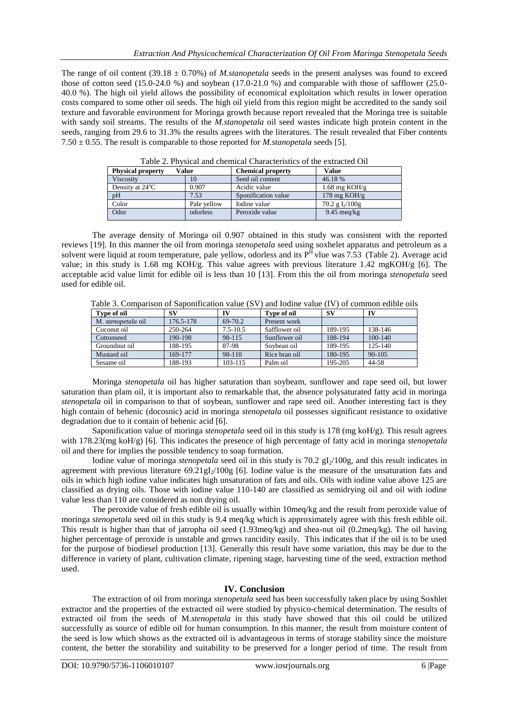The range of oil content (39.18 ± 0.70%) of *M.stanopetala* seeds in the present analyses was found to exceed those of cotton seed (15.0-24.0 %) and soybean (17.0-21.0 %) and comparable with those of safflower (25.0- 40.0 %). The high oil yield allows the possibility of economical exploitation which results in lower operation costs compared to some other oil seeds. The high oil yield from this region might be accredited to the sandy soil texture and favorable environment for Moringa growth because report revealed that the Moringa tree is suitable with sandy soil streams. The results of the *M.stanopetala* oil seed wastes indicate high protein content in the seeds, ranging from 29.6 to 31.3% the results agrees with the literatures. The result revealed that Fiber contents 7.50 ± 0.55. The result is comparable to those reported for *M.stanopetala* seeds [5].

| Tuble 2. I II when and chemical characteristics of the extracted Onl |             |                          |                               |  |  |  |
|----------------------------------------------------------------------|-------------|--------------------------|-------------------------------|--|--|--|
| <b>Physical property</b><br>Value                                    |             | <b>Chemical property</b> | <b>Value</b>                  |  |  |  |
| Viscosity                                                            | 10          | Seed oil content         | 46.18 %                       |  |  |  |
| Density at $24^{\circ}$ C                                            | 0.907       | Acidic value             | $1.68$ mg KOH/g               |  |  |  |
| pH                                                                   | 7.53        | Sponification value      | 178 mg $KOH/g$                |  |  |  |
| Color                                                                | Pale vellow | Iodine value             | $70.2$ g I <sub>2</sub> /100g |  |  |  |
| Odor                                                                 | odorless    | Peroxide value           | $9.45 \text{~meq/kg}$         |  |  |  |

Table 2. Physical and chemical Characteristics of the extracted Oil

The average density of Moringa oil 0.907 obtained in this study was consistent with the reported reviews [19]. In this manner the oil from moringa *stenopetala* seed using soxhelet apparatus and petroleum as a solvent were liquid at room temperature, pale yellow, odorless and its  $P^{H}$  vlue was 7.53 (Table 2). Average acid value; in this study is 1.68 mg KOH/g. This value agrees with previous literature 1.42 mgKOH/g [6]. The acceptable acid value limit for edible oil is less than 10 [13]. From this the oil from moringa *stenopetala* seed used for edible oil.

Table 3. Comparison of Saponification value (SV) and Iodine value (IV) of common edible oils

| Type of oil        | SV        | IV           | Type of oil   | -SV     | IV         |
|--------------------|-----------|--------------|---------------|---------|------------|
| M. stenopetala oil | 176.5-178 | 69-70.2      | Present work  |         |            |
| Coconut oil        | 250-264   | $7.5 - 10.5$ | Safflower oil | 189-195 | 138-146    |
| Cottonseed         | 190-198   | 98-115       | Sunflower oil | 188-194 | 100-140    |
| Groundnut oil      | 188-195   | 87-98        | Sovbean oil   | 189-195 | 125-140    |
| Mustard oil        | 169-177   | 98-110       | Rice bran oil | 180-195 | $90 - 105$ |
| Sesame oil         | 188-193   | 103-115      | Palm oil      | 195-205 | 44-58      |

Moringa *stenopetala* oil has higher saturation than soybeam, sunflower and rape seed oil, but lower saturation than plam oil, it is important also to remarkable that, the absence polysaturated fatty acid in moringa *stenopetala* oil in comparison to that of soybean, sunflower and rape seed oil. Another interesting fact is they high contain of behenic (docosnic) acid in moringa *stenopetala* oil possesses significant resistance to oxidative degradation due to it contain of behenic acid [6].

Saponification value of moringa *stenopetala* seed oil in this study is 178 (mg koH/g). This result agrees with 178.23(mg koH/g) [6]. This indicates the presence of high percentage of fatty acid in moringa *stenopetala* oil and there for implies the possible tendency to soap formation.

Iodine value of moringa *stenopetala* seed oil in this study is 70.2 gI<sub>2</sub>/100g, and this result indicates in agreement with previous literature  $69.21 \text{ gI}_2/100 \text{g}$  [6]. Iodine value is the measure of the unsaturation fats and oils in which high iodine value indicates high unsaturation of fats and oils. Oils with iodine value above 125 are classified as drying oils. Those with iodine value 110-140 are classified as semidrying oil and oil with iodine value less than 110 are considered as non drying oil.

The peroxide value of fresh edible oil is usually within 10meq/kg and the result from peroxide value of moringa *stenopetala* seed oil in this study is 9.4 meq/kg which is approximately agree with this fresh edible oil. This result is higher than that of jatropha oil seed (1.93meq/kg) and shea-nut oil (0.2meq/kg). The oil having higher percentage of peroxide is unstable and grows rancidity easily. This indicates that if the oil is to be used for the purpose of biodiesel production [13]. Generally this result have some variation, this may be due to the difference in variety of plant, cultivation climate, ripening stage, harvesting time of the seed, extraction method used.

## **IV. Conclusion**

The extraction of oil from moringa *stenopetala* seed has been successfully taken place by using Soxhlet extractor and the properties of the extracted oil were studied by physico-chemical determination. The results of extracted oil from the seeds of M*.stenopetala* in this study have showed that this oil could be utilized successfully as source of edible oil for human consumption. In this manner, the result from moisture content of the seed is low which shows as the extracted oil is advantageous in terms of storage stability since the moisture content, the better the storability and suitability to be preserved for a longer period of time. The result from